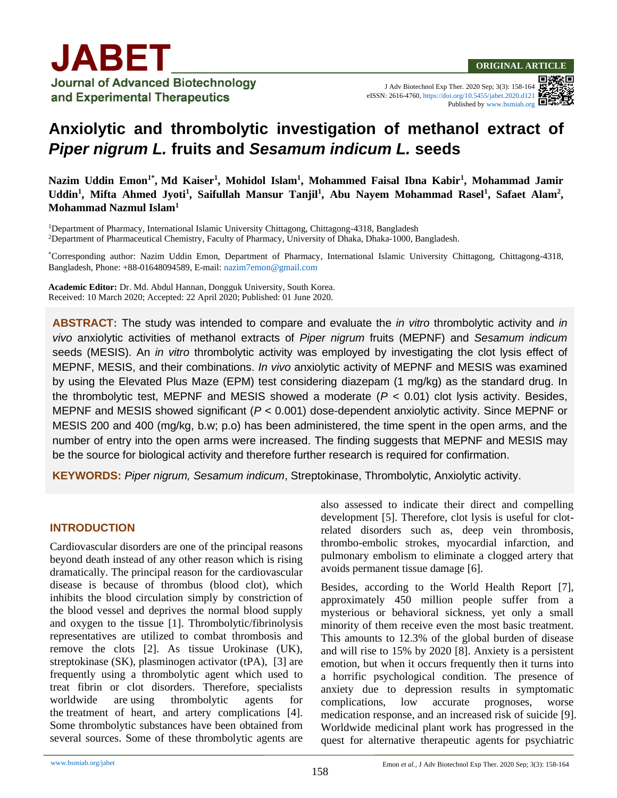

J Adv Biotechnol Exp Ther. 2020 Sep; 3(3): 158-164 eISSN: 2616-4760[, https://doi.org/10.5455/jabet.2020.d121](https://doi.org/10.5455/jabet.2020.d121) Published b[y www.bsmiab.org](http://www.bsmiab.org/)

# **Anxiolytic and thrombolytic investigation of methanol extract of**  *Piper nigrum L.* **fruits and** *Sesamum indicum L.* **seeds**

**Nazim Uddin Emon1\* , Md Kaiser<sup>1</sup> , Mohidol Islam<sup>1</sup> , Mohammed Faisal Ibna Kabir<sup>1</sup> , Mohammad Jamir**  Uddin<sup>1</sup>, Mifta Ahmed Jyoti<sup>1</sup>, Saifullah Mansur Tanjil<sup>1</sup>, Abu Nayem Mohammad Rasel<sup>1</sup>, Safaet Alam<sup>2</sup>, **Mohammad Nazmul Islam<sup>1</sup>**

<sup>1</sup>Department of Pharmacy, International Islamic University Chittagong, Chittagong-4318, Bangladesh <sup>2</sup>Department of Pharmaceutical Chemistry, Faculty of Pharmacy, University of Dhaka, Dhaka-1000, Bangladesh.

\*Corresponding author: Nazim Uddin Emon, Department of Pharmacy, International Islamic University Chittagong, Chittagong-4318, Bangladesh, Phone: +88-01648094589, E-mail: [nazim7emon@gmail.com](mailto:nazim7emon@gmail.com)

**Academic Editor:** Dr. Md. Abdul Hannan, Dongguk University, South Korea. Received: 10 March 2020; Accepted: 22 April 2020; Published: 01 June 2020.

**ABSTRACT:** The study was intended to compare and evaluate the *in vitro* thrombolytic activity and *in vivo* anxiolytic activities of methanol extracts of *Piper nigrum* fruits (MEPNF) and *Sesamum indicum* seeds (MESIS). An *in vitro* thrombolytic activity was employed by investigating the clot lysis effect of MEPNF, MESIS, and their combinations. *In vivo* anxiolytic activity of MEPNF and MESIS was examined by using the Elevated Plus Maze (EPM) test considering diazepam (1 mg/kg) as the standard drug. In the thrombolytic test, MEPNF and MESIS showed a moderate  $(P < 0.01)$  clot lysis activity. Besides, MEPNF and MESIS showed significant (*P* < 0.001) dose-dependent anxiolytic activity. Since MEPNF or MESIS 200 and 400 (mg/kg, b.w; p.o) has been administered, the time spent in the open arms, and the number of entry into the open arms were increased. The finding suggests that MEPNF and MESIS may be the source for biological activity and therefore further research is required for confirmation.

**KEYWORDS:** *Piper nigrum, Sesamum indicum*, Streptokinase, Thrombolytic, Anxiolytic activity.

## **INTRODUCTION**

Cardiovascular disorders are one of the principal reasons beyond death instead of any other reason which is rising dramatically. The principal reason for the cardiovascular disease is because of thrombus (blood clot), which inhibits the blood circulation simply by constriction of the blood vessel and deprives the normal blood supply and oxygen to the tissue [\[1\]](#page-5-0). Thrombolytic/fibrinolysis representatives are utilized to combat thrombosis and remove the clots [\[2\]](#page-5-1). As tissue Urokinase (UK), streptokinase (SK), plasminogen activator (tPA), [\[3\]](#page-5-2) are frequently using a thrombolytic agent which used to treat fibrin or clot disorders. Therefore, specialists worldwide are using thrombolytic agents for the treatment of heart, and artery complications [\[4\]](#page-5-3). Some thrombolytic substances have been obtained from several sources. Some of these thrombolytic agents are also assessed to indicate their direct and compelling development [\[5\]](#page-5-4). Therefore, clot lysis is useful for clotrelated disorders such as, deep vein thrombosis, thrombo-embolic strokes, myocardial infarction, and pulmonary embolism to eliminate a clogged artery that avoids permanent tissue damage [\[6\]](#page-5-5).

Besides, according to the World Health Report [\[7\]](#page-5-6), approximately 450 million people suffer from a mysterious or behavioral sickness, yet only a small minority of them receive even the most basic treatment. This amounts to 12.3% of the global burden of disease and will rise to 15% by 2020 [\[8\]](#page-5-7). Anxiety is a persistent emotion, but when it occurs frequently then it turns into a horrific psychological condition. The presence of anxiety due to depression results in symptomatic complications, low accurate prognoses, worse medication response, and an increased risk of suicide [\[9\]](#page-5-8). Worldwide medicinal plant work has progressed in the quest for alternative therapeutic agents for psychiatric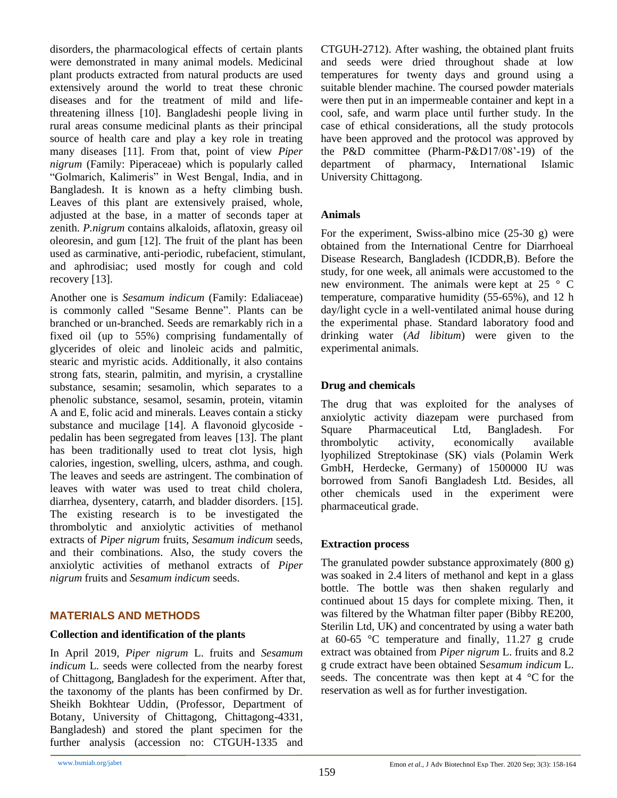disorders, the pharmacological effects of certain plants were demonstrated in many animal models. Medicinal plant products extracted from natural products are used extensively around the world to treat these chronic diseases and for the treatment of mild and lifethreatening illness [\[10\]](#page-5-9). Bangladeshi people living in rural areas consume medicinal plants as their principal source of health care and play a key role in treating many diseases [\[11\]](#page-5-10). From that, point of view *Piper nigrum* (Family: Piperaceae) which is popularly called "Golmarich, Kalimeris" in West Bengal, India, and in Bangladesh. It is known as a hefty climbing bush. Leaves of this plant are extensively praised, whole, adjusted at the base, in a matter of seconds taper at zenith. *P.nigrum* contains alkaloids, aflatoxin, greasy oil oleoresin, and gum [\[12\]](#page-5-11). The fruit of the plant has been used as carminative, anti-periodic, rubefacient, stimulant, and aphrodisiac; used mostly for cough and cold recovery [\[13\]](#page-5-12).

Another one is *Sesamum indicum* (Family: Edaliaceae) is commonly called "Sesame Benne". Plants can be branched or un-branched. Seeds are remarkably rich in a fixed oil (up to 55%) comprising fundamentally of glycerides of oleic and linoleic acids and palmitic, stearic and myristic acids. Additionally, it also contains strong fats, stearin, palmitin, and myrisin, a crystalline substance, sesamin; sesamolin, which separates to a phenolic substance, sesamol, sesamin, protein, vitamin A and E, folic acid and minerals. Leaves contain a sticky substance and mucilage [\[14\]](#page-5-13). A flavonoid glycoside pedalin has been segregated from leaves [\[13\]](#page-5-12). The plant has been traditionally used to treat clot lysis, high calories, ingestion, swelling, ulcers, asthma, and cough. The leaves and seeds are astringent. The combination of leaves with water was used to treat child cholera, diarrhea, dysentery, catarrh, and bladder disorders. [\[15\]](#page-5-14). The existing research is to be investigated the thrombolytic and anxiolytic activities of methanol extracts of *Piper nigrum* fruits, *Sesamum indicum* seeds, and their combinations. Also, the study covers the anxiolytic activities of methanol extracts of *Piper nigrum* fruits and *Sesamum indicum* seeds.

## **MATERIALS AND METHODS**

#### **Collection and identification of the plants**

In April 2019, *Piper nigrum* L. fruits and *Sesamum indicum* L*.* seeds were collected from the nearby forest of Chittagong, Bangladesh for the experiment. After that, the taxonomy of the plants has been confirmed by Dr. Sheikh Bokhtear Uddin, (Professor, Department of Botany, University of Chittagong, Chittagong-4331, Bangladesh) and stored the plant specimen for the further analysis (accession no: CTGUH-1335 and

CTGUH-2712). After washing, the obtained plant fruits and seeds were dried throughout shade at low temperatures for twenty days and ground using a suitable blender machine. The coursed powder materials were then put in an impermeable container and kept in a cool, safe, and warm place until further study. In the case of ethical considerations, all the study protocols have been approved and the protocol was approved by the P&D committee (Pharm-P&D17/08'-19) of the department of pharmacy, International Islamic University Chittagong.

#### **Animals**

For the experiment, Swiss-albino mice (25-30 g) were obtained from the International Centre for Diarrhoeal Disease Research, Bangladesh (ICDDR,B). Before the study, for one week, all animals were accustomed to the new environment. The animals were kept at 25 ° C temperature, comparative humidity (55-65%), and 12 h day/light cycle in a well-ventilated animal house during the experimental phase. Standard laboratory food and drinking water (*Ad libitum*) were given to the experimental animals.

## **Drug and chemicals**

The drug that was exploited for the analyses of anxiolytic activity diazepam were purchased from Square Pharmaceutical Ltd, Bangladesh. For thrombolytic activity, economically available lyophilized Streptokinase (SK) vials (Polamin Werk GmbH, Herdecke, Germany) of 1500000 IU was borrowed from Sanofi Bangladesh Ltd. Besides, all other chemicals used in the experiment were pharmaceutical grade.

#### **Extraction process**

The granulated powder substance approximately (800 g) was soaked in 2.4 liters of methanol and kept in a glass bottle. The bottle was then shaken regularly and continued about 15 days for complete mixing. Then, it was filtered by the Whatman filter paper (Bibby RE200, Sterilin Ltd, UK) and concentrated by using a water bath at 60-65 °C temperature and finally, 11.27 g crude extract was obtained from *Piper nigrum* L. fruits and 8.2 g crude extract have been obtained S*esamum indicum* L. seeds. The concentrate was then kept at  $4 \degree C$  for the reservation as well as for further investigation.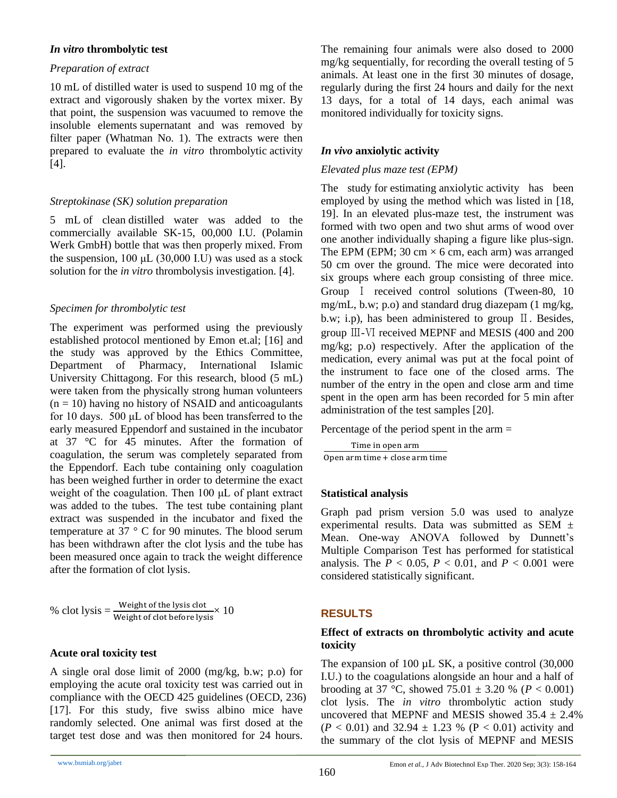#### *In vitro* **thrombolytic test**

#### *Preparation of extract*

10 mL of distilled water is used to suspend 10 mg of the extract and vigorously shaken by the vortex mixer. By that point, the suspension was vacuumed to remove the insoluble elements supernatant and was removed by filter paper (Whatman No. 1). The extracts were then prepared to evaluate the *in vitro* thrombolytic activity [\[4\]](#page-5-3).

## *Streptokinase (SK) solution preparation*

5 mL of clean distilled water was added to the commercially available SK-15, 00,000 I.U. (Polamin Werk GmbH) bottle that was then properly mixed. From the suspension, 100 μL (30,000 I.U) was used as a stock solution for the *in vitro* thrombolysis investigation. [\[4\]](#page-5-3).

## *Specimen for thrombolytic test*

The experiment was performed using the previously established protocol mentioned by Emon et.al; [\[16\]](#page-5-15) and the study was approved by the Ethics Committee, Department of Pharmacy, International Islamic University Chittagong. For this research, blood (5 mL) were taken from the physically strong human volunteers  $(n = 10)$  having no history of NSAID and anticoagulants for 10 days. 500 μL of blood has been transferred to the early measured Eppendorf and sustained in the incubator at 37 °C for 45 minutes. After the formation of coagulation, the serum was completely separated from the Eppendorf. Each tube containing only coagulation has been weighed further in order to determine the exact weight of the coagulation. Then 100 μL of plant extract was added to the tubes. The test tube containing plant extract was suspended in the incubator and fixed the temperature at 37 ° C for 90 minutes. The blood serum has been withdrawn after the clot lysis and the tube has been measured once again to track the weight difference after the formation of clot lysis.

% clot lysis = 
$$
\frac{\text{Weight of the lysis clot}}{\text{Weight of clot before lysis}} \times 10
$$

#### **Acute oral toxicity test**

A single oral dose limit of 2000 (mg/kg, b.w; p.o) for employing the acute oral toxicity test was carried out in compliance with the OECD 425 guidelines (OECD, 236) [\[17\]](#page-5-16). For this study, five swiss albino mice have randomly selected. One animal was first dosed at the target test dose and was then monitored for 24 hours.

The remaining four animals were also dosed to 2000 mg/kg sequentially, for recording the overall testing of 5 animals. At least one in the first 30 minutes of dosage, regularly during the first 24 hours and daily for the next 13 days, for a total of 14 days, each animal was monitored individually for toxicity signs.

## *In vivo* **anxiolytic activity**

### *Elevated plus maze test (EPM)*

The study for estimating anxiolytic activity has been employed by using the method which was listed in [\[18,](#page-5-17) [19\]](#page-5-18). In an elevated plus-maze test, the instrument was formed with two open and two shut arms of wood over one another individually shaping a figure like plus-sign. The EPM (EPM; 30 cm  $\times$  6 cm, each arm) was arranged 50 cm over the ground. The mice were decorated into six groups where each group consisting of three mice. Group Ⅰ received control solutions (Tween-80, 10 mg/mL, b.w; p.o) and standard drug diazepam (1 mg/kg, b.w; i.p), has been administered to group Ⅱ. Besides, group Ⅲ-Ⅵ received MEPNF and MESIS (400 and 200 mg/kg; p.o) respectively. After the application of the medication, every animal was put at the focal point of the instrument to face one of the closed arms. The number of the entry in the open and close arm and time spent in the open arm has been recorded for 5 min after administration of the test samples [\[20\]](#page-5-19).

#### Percentage of the period spent in the arm =

Time in open arm Open arm time + close arm time

#### **Statistical analysis**

Graph pad prism version 5.0 was used to analyze experimental results. Data was submitted as SEM ± Mean. One-way ANOVA followed by Dunnett's Multiple Comparison Test has performed for statistical analysis. The  $P < 0.05$ ,  $P < 0.01$ , and  $P < 0.001$  were considered statistically significant.

# **RESULTS**

## **Effect of extracts on thrombolytic activity and acute toxicity**

The expansion of 100  $\mu$ L SK, a positive control (30,000) I.U.) to the coagulations alongside an hour and a half of brooding at 37 °C, showed  $75.01 \pm 3.20$  % ( $P < 0.001$ ) clot lysis. The *in vitro* thrombolytic action study uncovered that MEPNF and MESIS showed  $35.4 \pm 2.4\%$  $(P < 0.01)$  and 32.94  $\pm$  1.23 % (P < 0.01) activity and the summary of the clot lysis of MEPNF and MESIS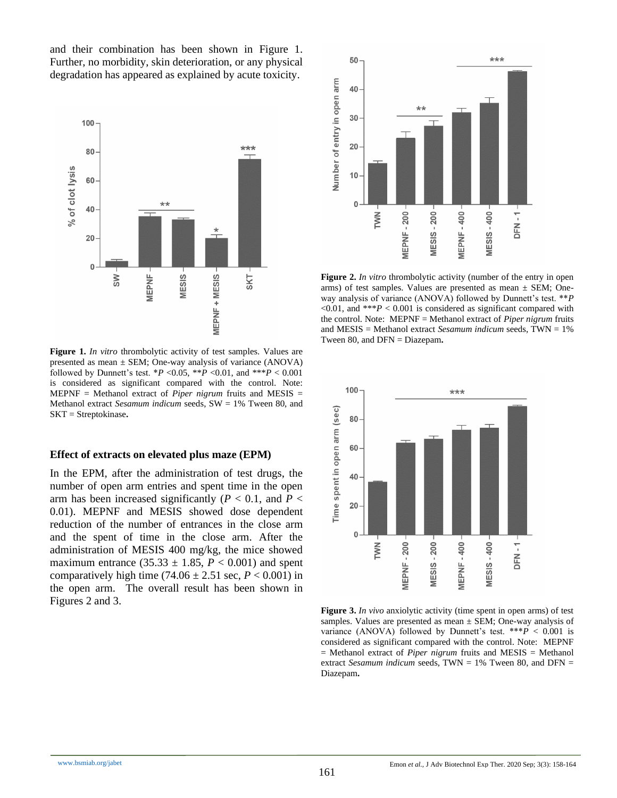and their combination has been shown in Figure 1. Further, no morbidity, skin deterioration, or any physical degradation has appeared as explained by acute toxicity.



**Figure 1.** *In vitro* thrombolytic activity of test samples. Values are presented as mean  $\pm$  SEM; One-way analysis of variance (ANOVA) followed by Dunnett's test.  $*P < 0.05$ ,  $*P < 0.01$ , and  $**P < 0.001$ is considered as significant compared with the control. Note: MEPNF = Methanol extract of *Piper nigrum* fruits and MESIS = Methanol extract *Sesamum indicum* seeds, SW = 1% Tween 80, and SKT = Streptokinase**.**

#### **Effect of extracts on elevated plus maze (EPM)**

In the EPM, after the administration of test drugs, the number of open arm entries and spent time in the open arm has been increased significantly ( $P < 0.1$ , and  $P <$ 0.01). MEPNF and MESIS showed dose dependent reduction of the number of entrances in the close arm and the spent of time in the close arm. After the administration of MESIS 400 mg/kg, the mice showed maximum entrance  $(35.33 \pm 1.85, P < 0.001)$  and spent comparatively high time  $(74.06 \pm 2.51 \text{ sec}, P < 0.001)$  in the open arm. The overall result has been shown in Figures 2 and 3.



**Figure 2.** *In vitro* thrombolytic activity (number of the entry in open arms) of test samples. Values are presented as mean  $\pm$  SEM; Oneway analysis of variance (ANOVA) followed by Dunnett's test. \*\**P*  $\leq 0.01$ , and \*\*\**P*  $\leq 0.001$  is considered as significant compared with the control. Note: MEPNF = Methanol extract of *Piper nigrum* fruits and MESIS = Methanol extract *Sesamum indicum* seeds, TWN = 1% Tween 80, and DFN = Diazepam**.**



**Figure 3.** *In vivo* anxiolytic activity (time spent in open arms) of test samples. Values are presented as mean ± SEM; One-way analysis of variance (ANOVA) followed by Dunnett's test.  $***P$  < 0.001 is considered as significant compared with the control. Note: MEPNF = Methanol extract of *Piper nigrum* fruits and MESIS = Methanol extract *Sesamum indicum* seeds, TWN = 1% Tween 80, and DFN = Diazepam**.**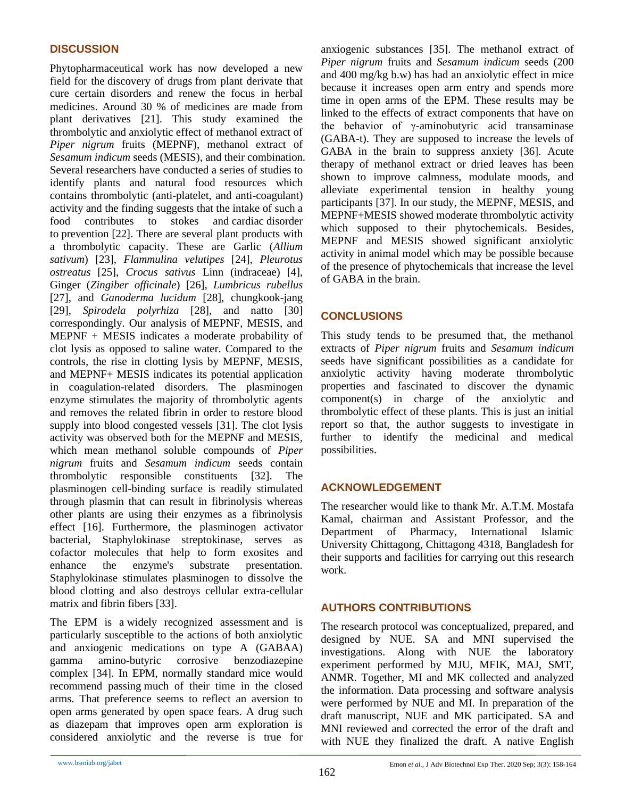## **DISCUSSION**

Phytopharmaceutical work has now developed a new field for the discovery of drugs from plant derivate that cure certain disorders and renew the focus in herbal medicines. Around 30 % of medicines are made from plant derivatives [\[21\]](#page-5-20). This study examined the thrombolytic and anxiolytic effect of methanol extract of *Piper nigrum* fruits (MEPNF), methanol extract of *Sesamum indicum* seeds (MESIS), and their combination*.*  Several researchers have conducted a series of studies to identify plants and natural food resources which contains thrombolytic (anti-platelet, and anti-coagulant) activity and the finding suggests that the intake of such a food contributes to stokes and cardiac disorder to prevention [\[22\]](#page-5-21). There are several plant products with a thrombolytic capacity. These are Garlic (*Allium sativum*) [\[23\]](#page-5-22), *Flammulina velutipes* [\[24\]](#page-5-23), *Pleurotus ostreatus* [\[25\]](#page-6-0), *Crocus sativus* Linn (indraceae) [\[4\]](#page-5-3), Ginger (*Zingiber officinale*) [\[26\]](#page-6-1), *Lumbricus rubellus* [\[27\]](#page-6-2), and *Ganoderma lucidum* [\[28\]](#page-6-3), chungkook-jang [\[29\]](#page-6-4), *Spirodela polyrhiza* [\[28\]](#page-6-3), and natto [\[30\]](#page-6-5) correspondingly. Our analysis of MEPNF, MESIS, and MEPNF + MESIS indicates a moderate probability of clot lysis as opposed to saline water. Compared to the controls, the rise in clotting lysis by MEPNF, MESIS, and MEPNF+ MESIS indicates its potential application in coagulation-related disorders. The plasminogen enzyme stimulates the majority of thrombolytic agents and removes the related fibrin in order to restore blood supply into blood congested vessels [\[31\]](#page-6-6). The clot lysis activity was observed both for the MEPNF and MESIS, which mean methanol soluble compounds of *Piper nigrum* fruits and *Sesamum indicum* seeds contain thrombolytic responsible constituents [\[32\]](#page-6-7). The plasminogen cell-binding surface is readily stimulated through plasmin that can result in fibrinolysis whereas other plants are using their enzymes as a fibrinolysis effect [\[16\]](#page-5-15). Furthermore, the plasminogen activator bacterial, Staphylokinase streptokinase, serves as cofactor molecules that help to form exosites and enhance the enzyme's substrate presentation. Staphylokinase stimulates plasminogen to dissolve the blood clotting and also destroys cellular extra-cellular matrix and fibrin fibers [\[33\]](#page-6-8).

The EPM is a widely recognized assessment and is particularly susceptible to the actions of both anxiolytic and anxiogenic medications on type A (GABAA) gamma amino-butyric corrosive benzodiazepine complex [\[34\]](#page-6-9). In EPM, normally standard mice would recommend passing much of their time in the closed arms. That preference seems to reflect an aversion to open arms generated by open space fears. A drug such as diazepam that improves open arm exploration is considered anxiolytic and the reverse is true for

anxiogenic substances [\[35\]](#page-6-10). The methanol extract of *Piper nigrum* fruits and *Sesamum indicum* seeds (200 and 400 mg/kg b.w) has had an anxiolytic effect in mice because it increases open arm entry and spends more time in open arms of the EPM. These results may be linked to the effects of extract components that have on the behavior of γ-aminobutyric acid transaminase (GABA-t). They are supposed to increase the levels of GABA in the brain to suppress anxiety [\[36\]](#page-6-11). Acute therapy of methanol extract or dried leaves has been shown to improve calmness, modulate moods, and alleviate experimental tension in healthy young participants [\[37\]](#page-6-12). In our study, the MEPNF, MESIS, and MEPNF+MESIS showed moderate thrombolytic activity which supposed to their phytochemicals. Besides, MEPNF and MESIS showed significant anxiolytic activity in animal model which may be possible because of the presence of phytochemicals that increase the level of GABA in the brain.

## **CONCLUSIONS**

This study tends to be presumed that, the methanol extracts of *Piper nigrum* fruits and *Sesamum indicum* seeds have significant possibilities as a candidate for anxiolytic activity having moderate thrombolytic properties and fascinated to discover the dynamic component(s) in charge of the anxiolytic and thrombolytic effect of these plants. This is just an initial report so that, the author suggests to investigate in further to identify the medicinal and medical possibilities.

## **ACKNOWLEDGEMENT**

The researcher would like to thank Mr. A.T.M. Mostafa Kamal, chairman and Assistant Professor, and the Department of Pharmacy, International Islamic University Chittagong, Chittagong 4318, Bangladesh for their supports and facilities for carrying out this research work.

# **AUTHORS CONTRIBUTIONS**

The research protocol was conceptualized, prepared, and designed by NUE. SA and MNI supervised the investigations. Along with NUE the laboratory experiment performed by MJU, MFIK, MAJ, SMT, ANMR. Together, MI and MK collected and analyzed the information. Data processing and software analysis were performed by NUE and MI. In preparation of the draft manuscript, NUE and MK participated. SA and MNI reviewed and corrected the error of the draft and with NUE they finalized the draft. A native English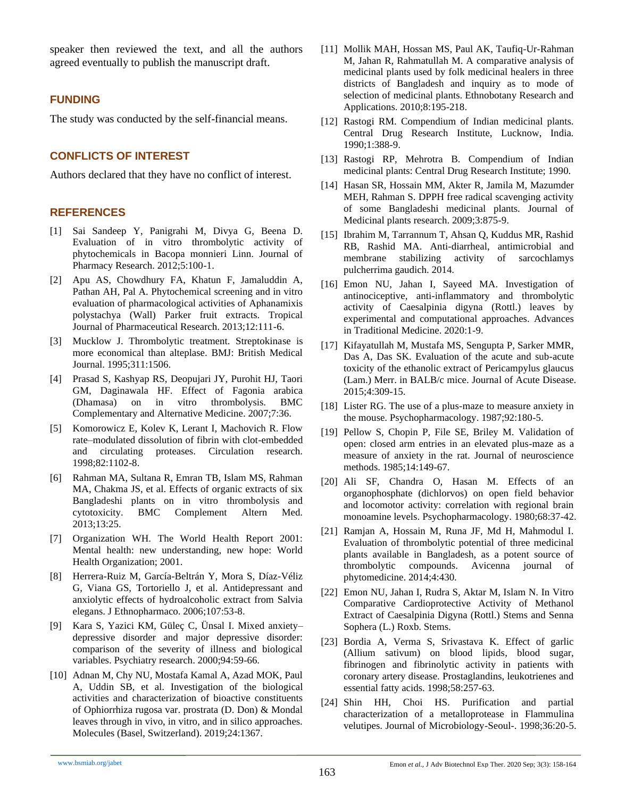speaker then reviewed the text, and all the authors agreed eventually to publish the manuscript draft.

### **FUNDING**

The study was conducted by the self-financial means.

### **CONFLICTS OF INTEREST**

Authors declared that they have no conflict of interest.

#### **REFERENCES**

- <span id="page-5-0"></span>[1] Sai Sandeep Y, Panigrahi M, Divya G, Beena D. Evaluation of in vitro thrombolytic activity of phytochemicals in Bacopa monnieri Linn. Journal of Pharmacy Research. 2012;5:100-1.
- <span id="page-5-1"></span>[2] Apu AS, Chowdhury FA, Khatun F, Jamaluddin A, Pathan AH, Pal A. Phytochemical screening and in vitro evaluation of pharmacological activities of Aphanamixis polystachya (Wall) Parker fruit extracts. Tropical Journal of Pharmaceutical Research. 2013;12:111-6.
- <span id="page-5-2"></span>[3] Mucklow J. Thrombolytic treatment. Streptokinase is more economical than alteplase. BMJ: British Medical Journal. 1995;311:1506.
- <span id="page-5-3"></span>[4] Prasad S, Kashyap RS, Deopujari JY, Purohit HJ, Taori GM, Daginawala HF. Effect of Fagonia arabica (Dhamasa) on in vitro thrombolysis. BMC Complementary and Alternative Medicine. 2007;7:36.
- <span id="page-5-4"></span>[5] Komorowicz E, Kolev K, Lerant I, Machovich R. Flow rate–modulated dissolution of fibrin with clot-embedded and circulating proteases. Circulation research. 1998;82:1102-8.
- <span id="page-5-5"></span>[6] Rahman MA, Sultana R, Emran TB, Islam MS, Rahman MA, Chakma JS, et al. Effects of organic extracts of six Bangladeshi plants on in vitro thrombolysis and cytotoxicity. BMC Complement Altern Med. 2013;13:25.
- <span id="page-5-6"></span>[7] Organization WH. The World Health Report 2001: Mental health: new understanding, new hope: World Health Organization; 2001.
- <span id="page-5-7"></span>[8] Herrera-Ruiz M, García-Beltrán Y, Mora S, Díaz-Véliz G, Viana GS, Tortoriello J, et al. Antidepressant and anxiolytic effects of hydroalcoholic extract from Salvia elegans. J Ethnopharmaco. 2006;107:53-8.
- <span id="page-5-8"></span>[9] Kara S, Yazici KM, Güleç C, Ünsal I. Mixed anxiety– depressive disorder and major depressive disorder: comparison of the severity of illness and biological variables. Psychiatry research. 2000;94:59-66.
- <span id="page-5-9"></span>[10] Adnan M, Chy NU, Mostafa Kamal A, Azad MOK, Paul A, Uddin SB, et al. Investigation of the biological activities and characterization of bioactive constituents of Ophiorrhiza rugosa var. prostrata (D. Don) & Mondal leaves through in vivo, in vitro, and in silico approaches. Molecules (Basel, Switzerland). 2019;24:1367.
- <span id="page-5-10"></span>[11] Mollik MAH, Hossan MS, Paul AK, Taufiq-Ur-Rahman M, Jahan R, Rahmatullah M. A comparative analysis of medicinal plants used by folk medicinal healers in three districts of Bangladesh and inquiry as to mode of selection of medicinal plants. Ethnobotany Research and Applications. 2010;8:195-218.
- <span id="page-5-11"></span>[12] Rastogi RM. Compendium of Indian medicinal plants. Central Drug Research Institute, Lucknow, India. 1990;1:388-9.
- <span id="page-5-12"></span>[13] Rastogi RP, Mehrotra B. Compendium of Indian medicinal plants: Central Drug Research Institute; 1990.
- <span id="page-5-13"></span>[14] Hasan SR, Hossain MM, Akter R, Jamila M, Mazumder MEH, Rahman S. DPPH free radical scavenging activity of some Bangladeshi medicinal plants. Journal of Medicinal plants research. 2009;3:875-9.
- <span id="page-5-14"></span>[15] Ibrahim M, Tarrannum T, Ahsan Q, Kuddus MR, Rashid RB, Rashid MA. Anti-diarrheal, antimicrobial and membrane stabilizing activity of sarcochlamys pulcherrima gaudich. 2014.
- <span id="page-5-15"></span>[16] Emon NU, Jahan I, Sayeed MA. Investigation of antinociceptive, anti-inflammatory and thrombolytic activity of Caesalpinia digyna (Rottl.) leaves by experimental and computational approaches. Advances in Traditional Medicine. 2020:1-9.
- <span id="page-5-16"></span>[17] Kifayatullah M, Mustafa MS, Sengupta P, Sarker MMR, Das A, Das SK. Evaluation of the acute and sub-acute toxicity of the ethanolic extract of Pericampylus glaucus (Lam.) Merr. in BALB/c mice. Journal of Acute Disease. 2015;4:309-15.
- <span id="page-5-17"></span>[18] Lister RG. The use of a plus-maze to measure anxiety in the mouse. Psychopharmacology. 1987;92:180-5.
- <span id="page-5-18"></span>[19] Pellow S, Chopin P, File SE, Briley M. Validation of open: closed arm entries in an elevated plus-maze as a measure of anxiety in the rat. Journal of neuroscience methods. 1985;14:149-67.
- <span id="page-5-19"></span>[20] Ali SF, Chandra O, Hasan M. Effects of an organophosphate (dichlorvos) on open field behavior and locomotor activity: correlation with regional brain monoamine levels. Psychopharmacology. 1980;68:37-42.
- <span id="page-5-20"></span>[21] Ramjan A, Hossain M, Runa JF, Md H, Mahmodul I. Evaluation of thrombolytic potential of three medicinal plants available in Bangladesh, as a potent source of thrombolytic compounds. Avicenna journal of phytomedicine. 2014;4:430.
- <span id="page-5-21"></span>[22] Emon NU, Jahan I, Rudra S, Aktar M, Islam N. In Vitro Comparative Cardioprotective Activity of Methanol Extract of Caesalpinia Digyna (Rottl.) Stems and Senna Sophera (L.) Roxb. Stems.
- <span id="page-5-22"></span>[23] Bordia A, Verma S, Srivastava K. Effect of garlic (Allium sativum) on blood lipids, blood sugar, fibrinogen and fibrinolytic activity in patients with coronary artery disease. Prostaglandins, leukotrienes and essential fatty acids. 1998;58:257-63.
- <span id="page-5-23"></span>[24] Shin HH, Choi HS. Purification and partial characterization of a metalloprotease in Flammulina velutipes. Journal of Microbiology-Seoul-. 1998;36:20-5.